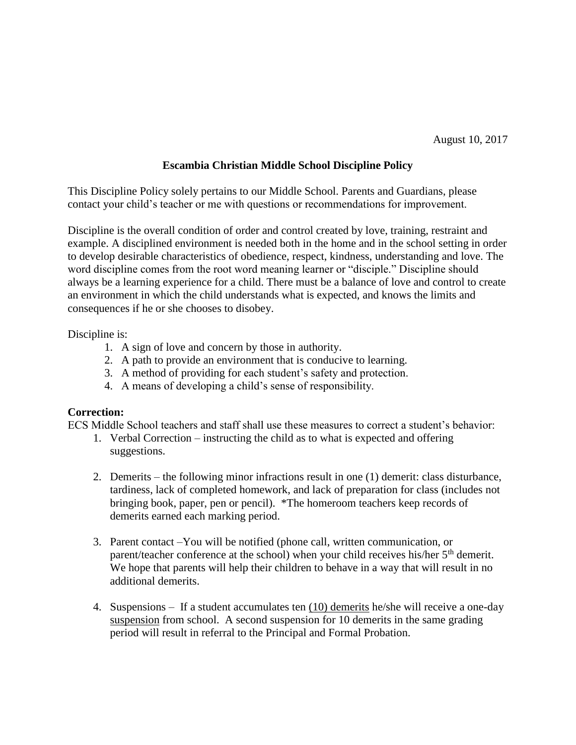## **Escambia Christian Middle School Discipline Policy**

This Discipline Policy solely pertains to our Middle School. Parents and Guardians, please contact your child's teacher or me with questions or recommendations for improvement.

Discipline is the overall condition of order and control created by love, training, restraint and example. A disciplined environment is needed both in the home and in the school setting in order to develop desirable characteristics of obedience, respect, kindness, understanding and love. The word discipline comes from the root word meaning learner or "disciple." Discipline should always be a learning experience for a child. There must be a balance of love and control to create an environment in which the child understands what is expected, and knows the limits and consequences if he or she chooses to disobey.

#### Discipline is:

- 1. A sign of love and concern by those in authority.
- 2. A path to provide an environment that is conducive to learning.
- 3. A method of providing for each student's safety and protection.
- 4. A means of developing a child's sense of responsibility.

#### **Correction:**

ECS Middle School teachers and staff shall use these measures to correct a student's behavior:

- 1. Verbal Correction instructing the child as to what is expected and offering suggestions.
- 2. Demerits the following minor infractions result in one (1) demerit: class disturbance, tardiness, lack of completed homework, and lack of preparation for class (includes not bringing book, paper, pen or pencil). \*The homeroom teachers keep records of demerits earned each marking period.
- 3. Parent contact –You will be notified (phone call, written communication, or parent/teacher conference at the school) when your child receives his/her 5<sup>th</sup> demerit. We hope that parents will help their children to behave in a way that will result in no additional demerits.
- 4. Suspensions If a student accumulates ten (10) demerits he/she will receive a one-day suspension from school. A second suspension for 10 demerits in the same grading period will result in referral to the Principal and Formal Probation.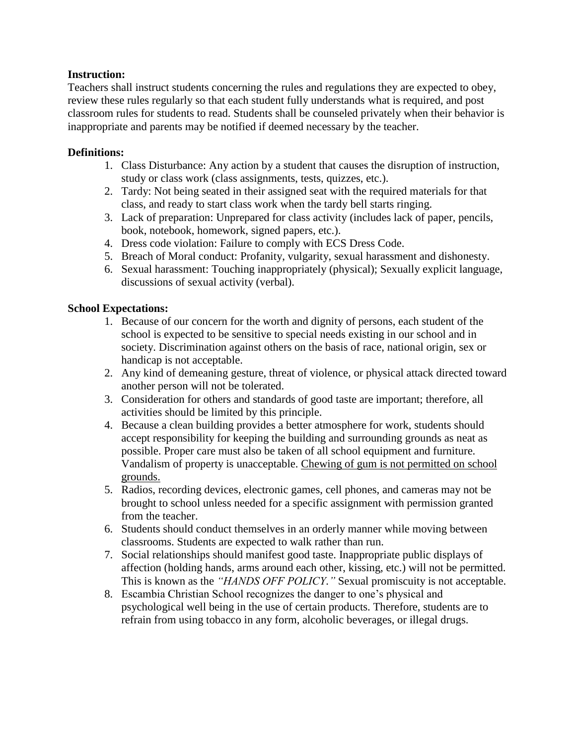### **Instruction:**

Teachers shall instruct students concerning the rules and regulations they are expected to obey, review these rules regularly so that each student fully understands what is required, and post classroom rules for students to read. Students shall be counseled privately when their behavior is inappropriate and parents may be notified if deemed necessary by the teacher.

## **Definitions:**

- 1. Class Disturbance: Any action by a student that causes the disruption of instruction, study or class work (class assignments, tests, quizzes, etc.).
- 2. Tardy: Not being seated in their assigned seat with the required materials for that class, and ready to start class work when the tardy bell starts ringing.
- 3. Lack of preparation: Unprepared for class activity (includes lack of paper, pencils, book, notebook, homework, signed papers, etc.).
- 4. Dress code violation: Failure to comply with ECS Dress Code.
- 5. Breach of Moral conduct: Profanity, vulgarity, sexual harassment and dishonesty.
- 6. Sexual harassment: Touching inappropriately (physical); Sexually explicit language, discussions of sexual activity (verbal).

### **School Expectations:**

- 1. Because of our concern for the worth and dignity of persons, each student of the school is expected to be sensitive to special needs existing in our school and in society. Discrimination against others on the basis of race, national origin, sex or handicap is not acceptable.
- 2. Any kind of demeaning gesture, threat of violence, or physical attack directed toward another person will not be tolerated.
- 3. Consideration for others and standards of good taste are important; therefore, all activities should be limited by this principle.
- 4. Because a clean building provides a better atmosphere for work, students should accept responsibility for keeping the building and surrounding grounds as neat as possible. Proper care must also be taken of all school equipment and furniture. Vandalism of property is unacceptable. Chewing of gum is not permitted on school grounds.
- 5. Radios, recording devices, electronic games, cell phones, and cameras may not be brought to school unless needed for a specific assignment with permission granted from the teacher.
- 6. Students should conduct themselves in an orderly manner while moving between classrooms. Students are expected to walk rather than run.
- 7. Social relationships should manifest good taste. Inappropriate public displays of affection (holding hands, arms around each other, kissing, etc.) will not be permitted. This is known as the *"HANDS OFF POLICY."* Sexual promiscuity is not acceptable.
- 8. Escambia Christian School recognizes the danger to one's physical and psychological well being in the use of certain products. Therefore, students are to refrain from using tobacco in any form, alcoholic beverages, or illegal drugs.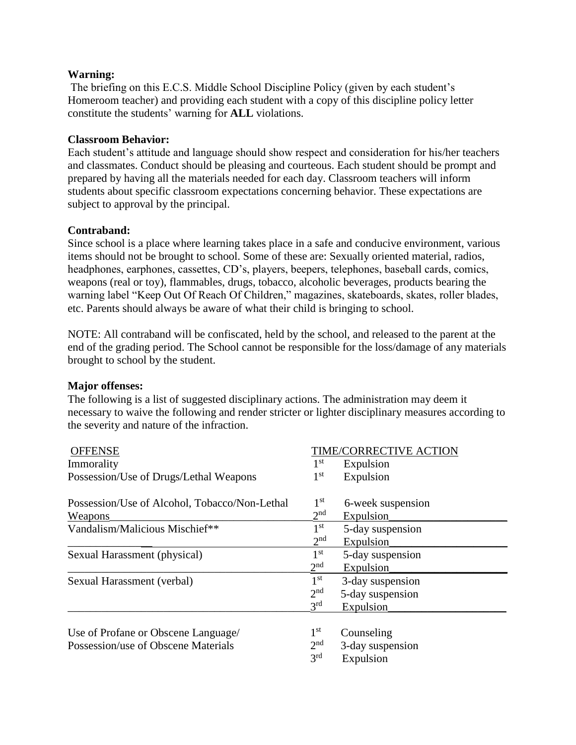### **Warning:**

The briefing on this E.C.S. Middle School Discipline Policy (given by each student's Homeroom teacher) and providing each student with a copy of this discipline policy letter constitute the students' warning for **ALL** violations.

### **Classroom Behavior:**

Each student's attitude and language should show respect and consideration for his/her teachers and classmates. Conduct should be pleasing and courteous. Each student should be prompt and prepared by having all the materials needed for each day. Classroom teachers will inform students about specific classroom expectations concerning behavior. These expectations are subject to approval by the principal.

# **Contraband:**

Since school is a place where learning takes place in a safe and conducive environment, various items should not be brought to school. Some of these are: Sexually oriented material, radios, headphones, earphones, cassettes, CD's, players, beepers, telephones, baseball cards, comics, weapons (real or toy), flammables, drugs, tobacco, alcoholic beverages, products bearing the warning label "Keep Out Of Reach Of Children," magazines, skateboards, skates, roller blades, etc. Parents should always be aware of what their child is bringing to school.

NOTE: All contraband will be confiscated, held by the school, and released to the parent at the end of the grading period. The School cannot be responsible for the loss/damage of any materials brought to school by the student.

#### **Major offenses:**

The following is a list of suggested disciplinary actions. The administration may deem it necessary to waive the following and render stricter or lighter disciplinary measures according to the severity and nature of the infraction.

| <b>OFFENSE</b>                                | <b>TIME/CORRECTIVE ACTION</b> |                   |
|-----------------------------------------------|-------------------------------|-------------------|
| Immorality                                    | 1 <sup>st</sup>               | Expulsion         |
| Possession/Use of Drugs/Lethal Weapons        | $1^{\rm st}$                  | Expulsion         |
| Possession/Use of Alcohol, Tobacco/Non-Lethal | $1^{\rm st}$                  | 6-week suspension |
| <u>Weapons</u>                                | 2 <sup>nd</sup>               | Expulsion         |
| Vandalism/Malicious Mischief**                | 1 <sup>st</sup>               | 5-day suspension  |
|                                               | 2 <sup>nd</sup>               | <b>Expulsion</b>  |
| Sexual Harassment (physical)                  | $1^{\rm st}$                  | 5-day suspension  |
|                                               | 2 <sup>nd</sup>               | Expulsion         |
| Sexual Harassment (verbal)                    | $1^{\rm st}$                  | 3-day suspension  |
|                                               | 2 <sup>nd</sup>               | 5-day suspension  |
|                                               | 3 <sup>rd</sup>               | <b>Expulsion</b>  |
|                                               |                               |                   |
| Use of Profane or Obscene Language/           | $1^{\rm st}$                  | Counseling        |
| Possession/use of Obscene Materials           | 2 <sup>nd</sup>               | 3-day suspension  |
|                                               | 3 <sup>rd</sup>               | Expulsion         |